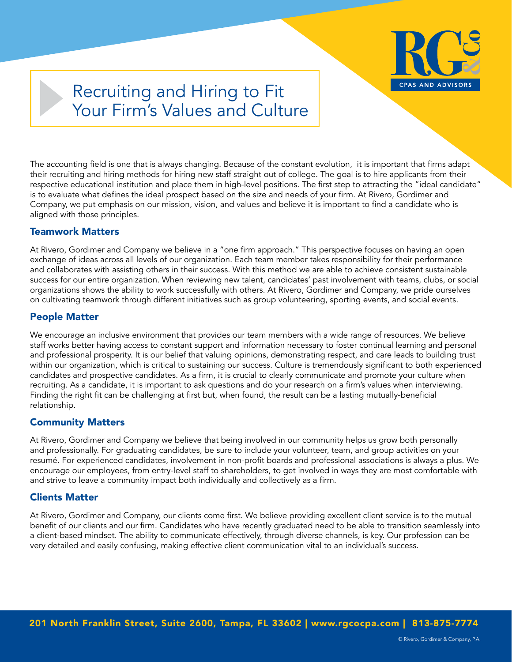

# Recruiting and Hiring to Fit Your Firm's Values and Culture

The accounting field is one that is always changing. Because of the constant evolution, it is important that firms adapt their recruiting and hiring methods for hiring new staff straight out of college. The goal is to hire applicants from their respective educational institution and place them in high-level positions. The first step to attracting the "ideal candidate" is to evaluate what defines the ideal prospect based on the size and needs of your firm. At Rivero, Gordimer and Company, we put emphasis on our mission, vision, and values and believe it is important to find a candidate who is aligned with those principles.

### Teamwork Matters

At Rivero, Gordimer and Company we believe in a "one firm approach." This perspective focuses on having an open exchange of ideas across all levels of our organization. Each team member takes responsibility for their performance and collaborates with assisting others in their success. With this method we are able to achieve consistent sustainable success for our entire organization. When reviewing new talent, candidates' past involvement with teams, clubs, or social organizations shows the ability to work successfully with others. At Rivero, Gordimer and Company, we pride ourselves on cultivating teamwork through different initiatives such as group volunteering, sporting events, and social events.

## People Matter

We encourage an inclusive environment that provides our team members with a wide range of resources. We believe staff works better having access to constant support and information necessary to foster continual learning and personal and professional prosperity. It is our belief that valuing opinions, demonstrating respect, and care leads to building trust within our organization, which is critical to sustaining our success. Culture is tremendously significant to both experienced candidates and prospective candidates. As a firm, it is crucial to clearly communicate and promote your culture when recruiting. As a candidate, it is important to ask questions and do your research on a firm's values when interviewing. Finding the right fit can be challenging at first but, when found, the result can be a lasting mutually-beneficial relationship.

### Community Matters

At Rivero, Gordimer and Company we believe that being involved in our community helps us grow both personally and professionally. For graduating candidates, be sure to include your volunteer, team, and group activities on your resumé. For experienced candidates, involvement in non-profit boards and professional associations is always a plus. We encourage our employees, from entry-level staff to shareholders, to get involved in ways they are most comfortable with and strive to leave a community impact both individually and collectively as a firm.

### Clients Matter

At Rivero, Gordimer and Company, our clients come first. We believe providing excellent client service is to the mutual benefit of our clients and our firm. Candidates who have recently graduated need to be able to transition seamlessly into a client-based mindset. The ability to communicate effectively, through diverse channels, is key. Our profession can be very detailed and easily confusing, making effective client communication vital to an individual's success.